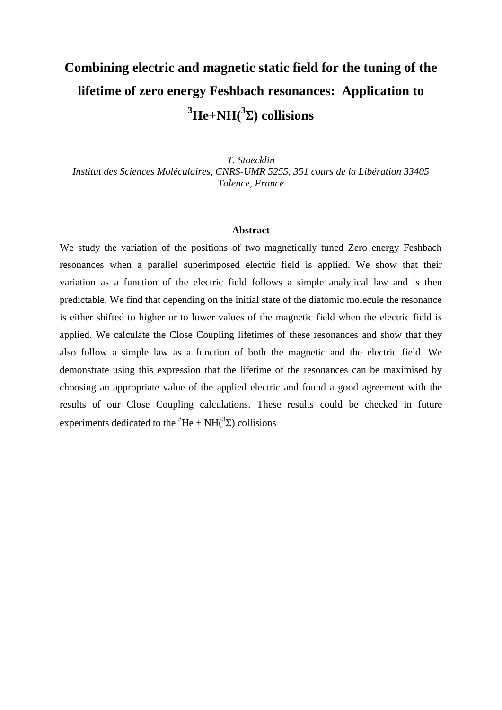## **Combining electric and magnetic static field for the tuning of the lifetime of zero energy Feshbach resonances: Application to <sup>3</sup>He+NH(<sup>3</sup> ) collisions**

*T. Stoecklin Institut des Sciences Moléculaires, CNRS-UMR 5255, 351 cours de la Libération 33405 Talence, France*

## **Abstract**

We study the variation of the positions of two magnetically tuned Zero energy Feshbach resonances when a parallel superimposed electric field is applied. We show that their variation as a function of the electric field follows a simple analytical law and is then predictable. We find that depending on the initial state of the diatomic molecule the resonance is either shifted to higher or to lower values of the magnetic field when the electric field is applied. We calculate the Close Coupling lifetimes of these resonances and show that they also follow a simple law as a function of both the magnetic and the electric field. We demonstrate using this expression that the lifetime of the resonances can be maximised by choosing an appropriate value of the applied electric and found a good agreement with the results of our Close Coupling calculations. These results could be checked in future experiments dedicated to the <sup>3</sup>He + NH(<sup>3</sup> $\Sigma$ ) collisions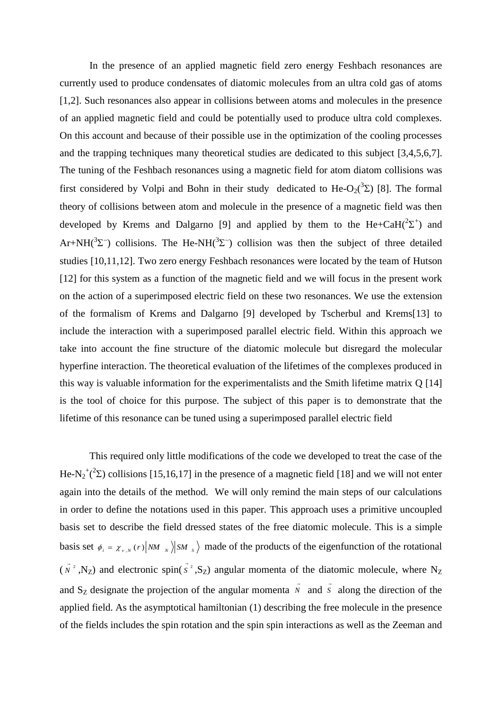<span id="page-1-3"></span><span id="page-1-1"></span><span id="page-1-0"></span>In the presence of an applied magnetic field zero energy Feshbach resonances are currently used to produce condensates of diatomic molecules from an ultra cold gas of atoms [1,2]. Such resonances also appear in collisions between atoms and molecules in the presence of an applied magnetic field and could be potentially used to produce ultra cold complexes. On this account and because of their possible use in the optimization of the cooling processes and the trapping techniques many theoretical studies are dedicated to this subject [3,4,5,6,7]. The tuning of the Feshbach resonances using a magnetic field for atom diatom collisions was first considered by Volpi and Bohn in their study dedicated to He-O<sub>2</sub>( ${}^{3}$ Σ) [8]. The formal theory of collisions between atom and molecule in the presence of a magnetic field was then developed by Krems and Dalgarno [9] and applied by them to the  $He + CaH(^{2}\Sigma^{+})$  and Ar+NH( $3\Sigma$ ) collisions. The He-NH( $3\Sigma$ ) collision was then the subject of three detailed studies [10,11,12]. Two zero energy Feshbach resonances were located by the team of Hutson [\[12\]](#page-1-0) for this system as a function of the magnetic field and we will focus in the present work on the action of a superimposed electric field on these two resonances. We use the extension of the formalism of Krems and Dalgarno [\[9\]](#page-1-1) developed by Tscherbul and Krems[13] to include the interaction with a superimposed parallel electric field. Within this approach we take into account the fine structure of the diatomic molecule but disregard the molecular hyperfine interaction. The theoretical evaluation of the lifetimes of the complexes produced in this way is valuable information for the experimentalists and the Smith lifetime matrix Q [14] is the tool of choice for this purpose. The subject of this paper is to demonstrate that the lifetime of this resonance can be tuned using a superimposed parallel electric field

<span id="page-1-2"></span>This required only little modifications of the code we developed to treat the case of the He-N<sub>2</sub><sup>+</sup>(<sup>2</sup>) collisions [15,16,17] in the presence of a magnetic field [18] and we will not enter again into the details of the method. We will only remind the main steps of our calculations in order to define the notations used in this paper. This approach uses a primitive uncoupled basis set to describe the field dressed states of the free diatomic molecule. This is a simple basis set  $\phi_i = \chi_{v_i, N}(r) |NM_{N}|\right)$  *SM<sub>s</sub>* and *S* made of the products of the eigenfunction of the rotational  $(N^2)$  $\vec{N}^2$ , N<sub>Z</sub>) and electronic spin( $\vec{S}^2$  $\vec{s}$ <sup>2</sup>, S<sub>Z</sub>) angular momenta of the diatomic molecule, where N<sub>Z</sub> and S<sub>Z</sub> designate the projection of the angular momenta N  $\vec{v}$  and  $\vec{s}$  $\overline{s}$  along the direction of the applied field. As the asymptotical hamiltonian (1) describing the free molecule in the presence of the fields includes the spin rotation and the spin spin interactions as well as the Zeeman and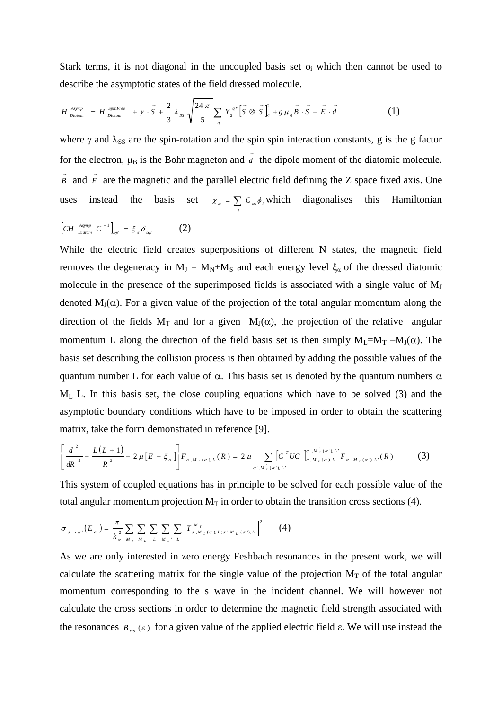Stark terms, it is not diagonal in the uncoupled basis set  $\phi_i$  which then cannot be used to

describe the asymptotic states of the field dressed molecule.  
\n
$$
H_{\text{Diatom}}^{A\text{symp}} = H_{\text{Diatom}}^{S\text{pinFree}} + \gamma \cdot \vec{S} + \frac{2}{3} \lambda_{SS} \sqrt{\frac{24 \pi}{5}} \sum_{q} Y_{2}^{q*} [\vec{S} \otimes \vec{S}]_{q}^{2} + g \mu_{0} \vec{B} \cdot \vec{S} - \vec{E} \cdot \vec{d}
$$
\n(1)

where  $\gamma$  and  $\lambda_{SS}$  are the spin-rotation and the spin spin interaction constants, g is the g factor for the electron,  $\mu_B$  is the Bohr magneton and  $d$ the dipole moment of the diatomic molecule. *B*  $\vec{B}$  and  $\vec{E}$  $\overline{\epsilon}$  are the magnetic and the parallel electric field defining the Z space fixed axis. One uses instead the basis set  $\chi_a = \sum_i C_{ai} \phi_i$ *i*  $\chi_a = \sum_{a_i} c_{ai} \phi_i$ , which diagonalises this Hamiltonian

$$
\left[CH^{A\text{symp}}_{Diatom} C^{-1}\right]_{\alpha\beta} = \xi_{\alpha} \delta_{\alpha\beta} \tag{2}
$$

While the electric field creates superpositions of different N states, the magnetic field removes the degeneracy in  $M_J = M_N + M_S$  and each energy level  $\xi_\alpha$  of the dressed diatomic molecule in the presence of the superimposed fields is associated with a single value of  $M<sub>J</sub>$ denoted  $M_J(\alpha)$ . For a given value of the projection of the total angular momentum along the direction of the fields  $M_T$  and for a given  $M_J(\alpha)$ , the projection of the relative angular momentum L along the direction of the field basis set is then simply  $M_L=M_T-M_J(\alpha)$ . The basis set describing the collision process is then obtained by adding the possible values of the quantum number L for each value of  $\alpha$ . This basis set is denoted by the quantum numbers  $\alpha$  $M<sub>L</sub>$  L. In this basis set, the close coupling equations which have to be solved (3) and the asymptotic boundary conditions which have to be imposed in order to obtain the scattering matrix, take the form demonstrated in reference [\[9\]](#page-1-1).

$$
\left[\frac{d^{2}}{dR^{2}} - \frac{L(L+1)}{R^{2}} + 2\mu \left[E - \xi_{\alpha}\right]\right] F_{\alpha, M_{L}(\alpha), L}(R) = 2\mu \sum_{\alpha', M_{L}(\alpha), L'} \left[C^{T}UC\right]_{\alpha, M_{L}(\alpha), L}^{\alpha', M_{L}(\alpha), L'} F_{\alpha', M_{L}(\alpha), L'}(R) \tag{3}
$$

This system of coupled equations has in principle to be solved for each possible value of the total angular momentum projection  $M_T$  in order to obtain the transition cross sections (4).

$$
\sigma_{\alpha \to \alpha} (E_{\alpha}) = \frac{\pi}{k_{\alpha}^2} \sum_{M_T} \sum_{M_T} \sum_{L} \sum_{M_L L' L'} \left| T_{\alpha, M_L(\alpha), L; \alpha', M_L(\alpha), L'}^M \right|^2 \tag{4}
$$

As we are only interested in zero energy Feshbach resonances in the present work, we will calculate the scattering matrix for the single value of the projection  $M_T$  of the total angular momentum corresponding to the s wave in the incident channel. We will however not calculate the cross sections in order to determine the magnetic field strength associated with the resonances  $B_{rs}(\varepsilon)$  for a given value of the applied electric field  $\varepsilon$ . We will use instead the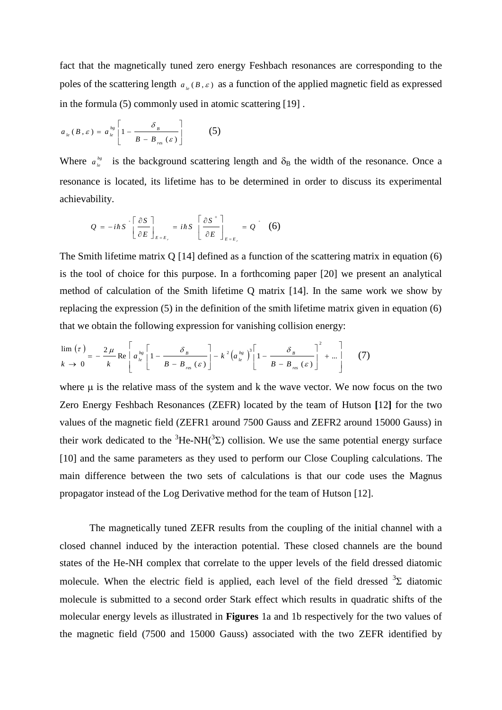fact that the magnetically tuned zero energy Feshbach resonances are corresponding to the poles of the scattering length  $a_{i}$  (*B*,  $\varepsilon$ ) as a function of the applied magnetic field as expressed in the formula (5) commonly used in atomic scattering [19] .

$$
a_{_{le}}(B, \varepsilon) = a_{_{le}}^{^{bg}} \left[ 1 - \frac{\delta_{_B}}{B - B_{_{res}}(\varepsilon)} \right] \tag{5}
$$

Where  $a_{i}^{bg}$  is the background scattering length and  $\delta_B$  the width of the resonance. Once a resonance is located, its lifetime has to be determined in order to discuss its experimental achievability.

<span id="page-3-0"></span>
$$
Q = -i\hbar S \left[ \frac{\partial S}{\partial E} \right]_{E=E_r} = i\hbar S \left[ \frac{\partial S}{\partial E} \right]_{E=E_r} = Q \left( 6 \right)
$$

The Smith lifetime matrix Q [\[14\]](#page-1-2) defined as a function of the scattering matrix in equation (6) is the tool of choice for this purpose. In a forthcoming paper [20] we present an analytical method of calculation of the Smith lifetime Q matrix [\[14\]](#page-1-2). In the same work we show by replacing the expression (5) in the definition of the smith lifetime matrix given in equation (6) that we obtain the following expression for vanishing collision energy:

$$
\lim_{k \to 0} (\tau) = -\frac{2\,\mu}{k} \text{Re} \left[ a_{i_e}^{bg} \left[ 1 - \frac{\delta_{B}}{B - B_{rgs}(\varepsilon)} \right] - k^2 \left( a_{i_e}^{bg} \right)^3 \left[ 1 - \frac{\delta_{B}}{B - B_{rgs}(\varepsilon)} \right]^2 + \dots \right] \tag{7}
$$

where  $\mu$  is the relative mass of the system and k the wave vector. We now focus on the two Zero Energy Feshbach Resonances (ZEFR) located by the team of Hutson **[**[12](#page-1-0)**]** for the two values of the magnetic field (ZEFR1 around 7500 Gauss and ZEFR2 around 15000 Gauss) in their work dedicated to the  ${}^{3}$ He-NH( ${}^{3}$ Σ) collision. We use the same potential energy surface [\[10\]](#page-1-3) and the same parameters as they used to perform our Close Coupling calculations. The main difference between the two sets of calculations is that our code uses the Magnus propagator instead of the Log Derivative method for the team of Hutson [\[12\]](#page-1-0).

The magnetically tuned ZEFR results from the coupling of the initial channel with a closed channel induced by the interaction potential. These closed channels are the bound states of the He-NH complex that correlate to the upper levels of the field dressed diatomic molecule. When the electric field is applied, each level of the field dressed  ${}^{3}\Sigma$  diatomic molecule is submitted to a second order Stark effect which results in quadratic shifts of the molecular energy levels as illustrated in **Figures** 1a and 1b respectively for the two values of the magnetic field (7500 and 15000 Gauss) associated with the two ZEFR identified by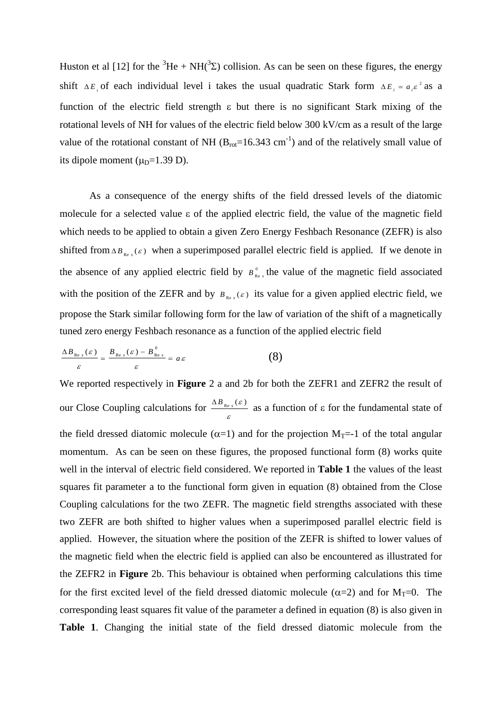Huston et al [\[12\]](#page-1-0) for the <sup>3</sup>He + NH(<sup>3</sup> $\Sigma$ ) collision. As can be seen on these figures, the energy shift  $\Delta E_i$  of each individual level i takes the usual quadratic Stark form  $\Delta E_i = a_i \varepsilon^2$  as a function of the electric field strength  $\varepsilon$  but there is no significant Stark mixing of the rotational levels of NH for values of the electric field below 300 kV/cm as a result of the large value of the rotational constant of NH  $(B_{rot}=16.343 \text{ cm}^{-1})$  and of the relatively small value of its dipole moment  $(\mu_D=1.39 \text{ D}).$ 

As a consequence of the energy shifts of the field dressed levels of the diatomic molecule for a selected value  $\varepsilon$  of the applied electric field, the value of the magnetic field which needs to be applied to obtain a given Zero Energy Feshbach Resonance (ZEFR) is also shifted from  $\Delta B_{\text{Re }s}(\varepsilon)$  when a superimposed parallel electric field is applied. If we denote in the absence of any applied electric field by  $B_{R}^{0}$  $B_{\text{Re }s}^0$  the value of the magnetic field associated with the position of the ZEFR and by  $B_{\text{Re }s}(s)$  its value for a given applied electric field, we propose the Stark similar following form for the law of variation of the shift of a magnetically tuned zero energy Feshbach resonance as a function of the applied electric field

$$
\frac{\Delta B_{\text{Re }s}(\varepsilon)}{\varepsilon} = \frac{B_{\text{Re }s}(\varepsilon) - B_{\text{Re }s}^{0}}{\varepsilon} = a \varepsilon \tag{8}
$$

We reported respectively in **Figure** 2 a and 2b for both the ZEFR1 and ZEFR2 the result of our Close Coupling calculations for  $\frac{\Delta B_{\text{Re}}}{\varepsilon}$  $\frac{\Delta B_{\text{Re }s}(\varepsilon)}{B}$  as a function of  $\varepsilon$  for the fundamental state of the field dressed diatomic molecule ( $\alpha$ =1) and for the projection M<sub>T</sub>=-1 of the total angular momentum. As can be seen on these figures, the proposed functional form  $(8)$  works quite well in the interval of electric field considered. We reported in **Table 1** the values of the least squares fit parameter a to the functional form given in equation (8) obtained from the Close Coupling calculations for the two ZEFR. The magnetic field strengths associated with these two ZEFR are both shifted to higher values when a superimposed parallel electric field is applied. However, the situation where the position of the ZEFR is shifted to lower values of the magnetic field when the electric field is applied can also be encountered as illustrated for the ZEFR2 in **Figure** 2b. This behaviour is obtained when performing calculations this time for the first excited level of the field dressed diatomic molecule ( $\alpha=2$ ) and for M<sub>T</sub>=0. The corresponding least squares fit value of the parameter a defined in equation (8) is also given in **Table 1**. Changing the initial state of the field dressed diatomic molecule from the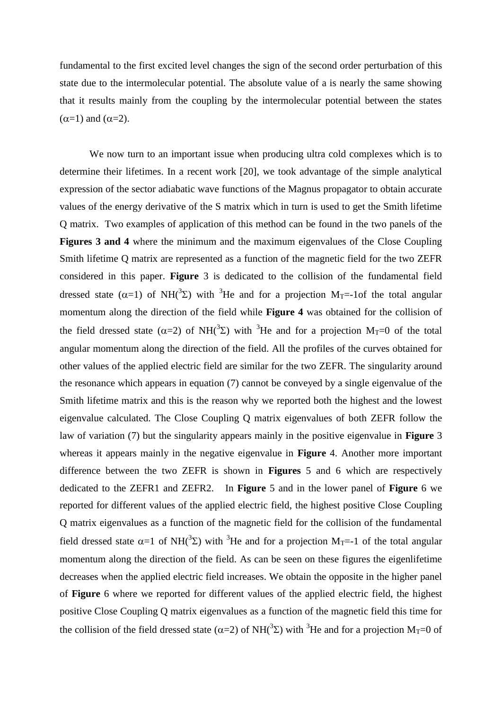fundamental to the first excited level changes the sign of the second order perturbation of this state due to the intermolecular potential. The absolute value of a is nearly the same showing that it results mainly from the coupling by the intermolecular potential between the states  $(\alpha=1)$  and  $(\alpha=2)$ .

We now turn to an important issue when producing ultra cold complexes which is to determine their lifetimes. In a recent work [\[20\]](#page-3-0), we took advantage of the simple analytical expression of the sector adiabatic wave functions of the Magnus propagator to obtain accurate values of the energy derivative of the S matrix which in turn is used to get the Smith lifetime Q matrix. Two examples of application of this method can be found in the two panels of the **Figures 3 and 4** where the minimum and the maximum eigenvalues of the Close Coupling Smith lifetime Q matrix are represented as a function of the magnetic field for the two ZEFR considered in this paper. **Figure** 3 is dedicated to the collision of the fundamental field dressed state ( $\alpha$ =1) of NH( $\alpha$ <sup>3</sup>) with <sup>3</sup>He and for a projection M<sub>T</sub>=-1of the total angular momentum along the direction of the field while **Figure 4** was obtained for the collision of the field dressed state ( $\alpha=2$ ) of NH( ${}^{3}$ E) with  ${}^{3}$ He and for a projection M<sub>T</sub>=0 of the total angular momentum along the direction of the field. All the profiles of the curves obtained for other values of the applied electric field are similar for the two ZEFR. The singularity around the resonance which appears in equation (7) cannot be conveyed by a single eigenvalue of the Smith lifetime matrix and this is the reason why we reported both the highest and the lowest eigenvalue calculated. The Close Coupling Q matrix eigenvalues of both ZEFR follow the law of variation (7) but the singularity appears mainly in the positive eigenvalue in **Figure** 3 whereas it appears mainly in the negative eigenvalue in **Figure** 4. Another more important difference between the two ZEFR is shown in **Figures** 5 and 6 which are respectively dedicated to the ZEFR1 and ZEFR2. In **Figure** 5 and in the lower panel of **Figure** 6 we reported for different values of the applied electric field, the highest positive Close Coupling Q matrix eigenvalues as a function of the magnetic field for the collision of the fundamental field dressed state  $\alpha=1$  of NH( ${}^{3}\Sigma$ ) with  ${}^{3}$ He and for a projection M<sub>T</sub>=-1 of the total angular momentum along the direction of the field. As can be seen on these figures the eigenlifetime decreases when the applied electric field increases. We obtain the opposite in the higher panel of **Figure** 6 where we reported for different values of the applied electric field, the highest positive Close Coupling Q matrix eigenvalues as a function of the magnetic field this time for the collision of the field dressed state ( $\alpha$ =2) of NH( $\alpha$ <sup>3</sup>) with <sup>3</sup>He and for a projection M<sub>T</sub>=0 of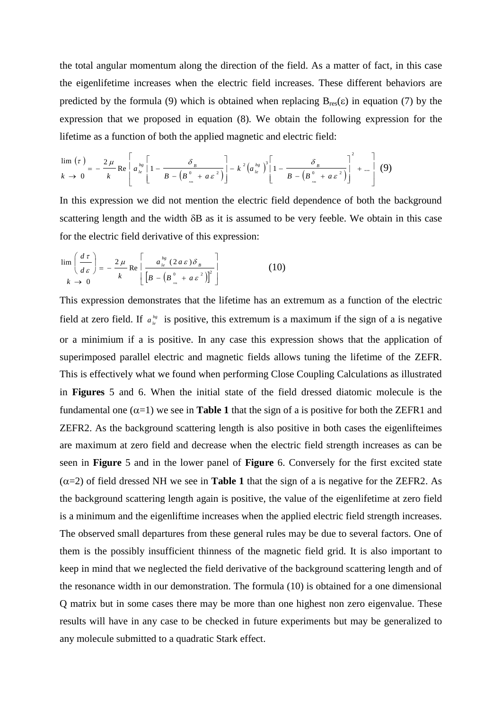the total angular momentum along the direction of the field. As a matter of fact, in this case the eigenlifetime increases when the electric field increases. These different behaviors are predicted by the formula (9) which is obtained when replacing  $B_{res}(\epsilon)$  in equation (7) by the expression that we proposed in equation (8). We obtain the following expression for the lifetime as a function of both the applied magnetic and electric field:

$$
\lim_{k \to 0} \left( \tau \right) = -\frac{2\,\mu}{k} \text{Re} \left[ a_{\,le}^{bg} \left[ 1 - \frac{\delta_{\,B}}{B - \left( B_{\,_{\text{ex}}}^{0} + a \,\varepsilon^{2} \right)} \right] - k^{2} \left( a_{\,le}^{bg} \right)^{3} \left[ 1 - \frac{\delta_{\,B}}{B - \left( B_{\,_{\text{ex}}}^{0} + a \,\varepsilon^{2} \right)} \right]^{2} + \dots \right] \tag{9}
$$

In this expression we did not mention the electric field dependence of both the background scattering length and the width  $\delta B$  as it is assumed to be very feeble. We obtain in this case for the electric field derivative of this expression:

$$
\lim_{k \to 0} \left( \frac{d\,\tau}{d\,\varepsilon} \right) = -\frac{2\,\mu}{k} \text{Re} \left[ \frac{a_{\,\,\ell}^{\,\,bs} \left( 2\,a\,\varepsilon \right) \delta_{\,\,\beta}}{\left[ B - \left( B_{\,\,\kappa}^{\,0} \,+\, a\,\varepsilon^{\,2} \right) \right]^{2}} \right]
$$
\n(10)

This expression demonstrates that the lifetime has an extremum as a function of the electric field at zero field. If  $a_{\iota}^{b_{g}}$  is positive, this extremum is a maximum if the sign of a is negative or a minimium if a is positive. In any case this expression shows that the application of superimposed parallel electric and magnetic fields allows tuning the lifetime of the ZEFR. This is effectively what we found when performing Close Coupling Calculations as illustrated in **Figures** 5 and 6. When the initial state of the field dressed diatomic molecule is the fundamental one  $(\alpha=1)$  we see in **Table 1** that the sign of a is positive for both the ZEFR1 and ZEFR2. As the background scattering length is also positive in both cases the eigenlifteimes are maximum at zero field and decrease when the electric field strength increases as can be seen in **Figure** 5 and in the lower panel of **Figure** 6. Conversely for the first excited state  $(\alpha=2)$  of field dressed NH we see in **Table 1** that the sign of a is negative for the ZEFR2. As the background scattering length again is positive, the value of the eigenlifetime at zero field is a minimum and the eigenliftime increases when the applied electric field strength increases. The observed small departures from these general rules may be due to several factors. One of them is the possibly insufficient thinness of the magnetic field grid. It is also important to keep in mind that we neglected the field derivative of the background scattering length and of the resonance width in our demonstration. The formula (10) is obtained for a one dimensional Q matrix but in some cases there may be more than one highest non zero eigenvalue. These results will have in any case to be checked in future experiments but may be generalized to any molecule submitted to a quadratic Stark effect.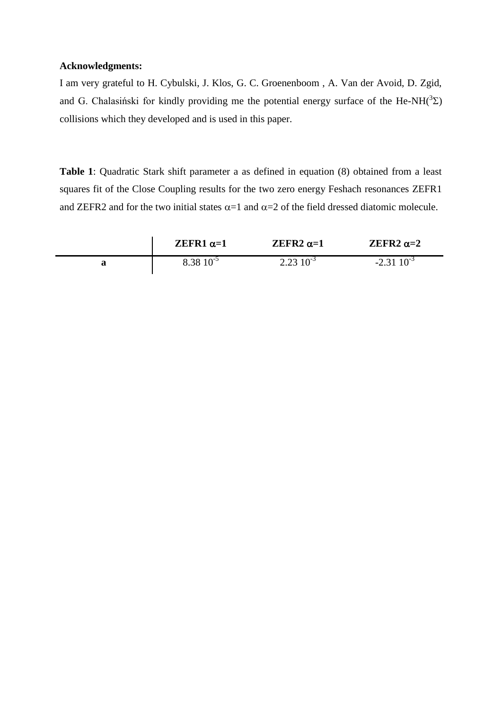## **Acknowledgments:**

I am very grateful to H. Cybulski, J. Klos, G. C. Groenenboom , A. Van der Avoid, D. Zgid, and G. Chalasiński for kindly providing me the potential energy surface of the He-NH( $3\Sigma$ ) collisions which they developed and is used in this paper.

**Table 1**: Quadratic Stark shift parameter a as defined in equation (8) obtained from a least squares fit of the Close Coupling results for the two zero energy Feshach resonances ZEFR1 and ZEFR2 and for the two initial states  $\alpha=1$  and  $\alpha=2$  of the field dressed diatomic molecule.

| ZEFR1 $\alpha=1$ | ZEFR2 $\alpha=1$ | ZEFR2 $\alpha=2$ |
|------------------|------------------|------------------|
| $8.38\ 10^{-5}$  | $2.23\ 10^{-3}$  | $-2.31\ 10^{-3}$ |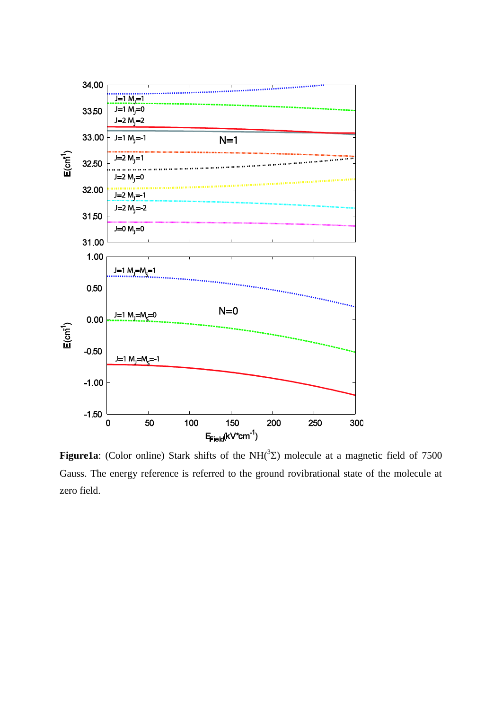

**Figure1a**: (Color online) Stark shifts of the NH $(^{3}$ E) molecule at a magnetic field of 7500 Gauss. The energy reference is referred to the ground rovibrational state of the molecule at zero field.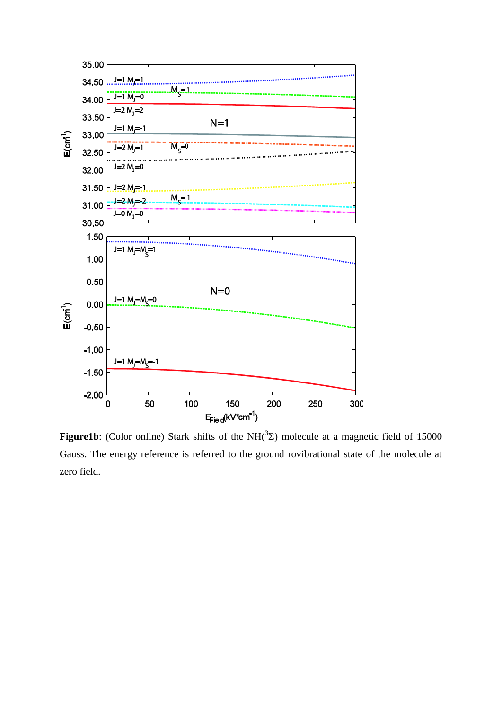

**Figure1b**: (Color online) Stark shifts of the NH( ${}^{3}\Sigma$ ) molecule at a magnetic field of 15000 Gauss. The energy reference is referred to the ground rovibrational state of the molecule at zero field.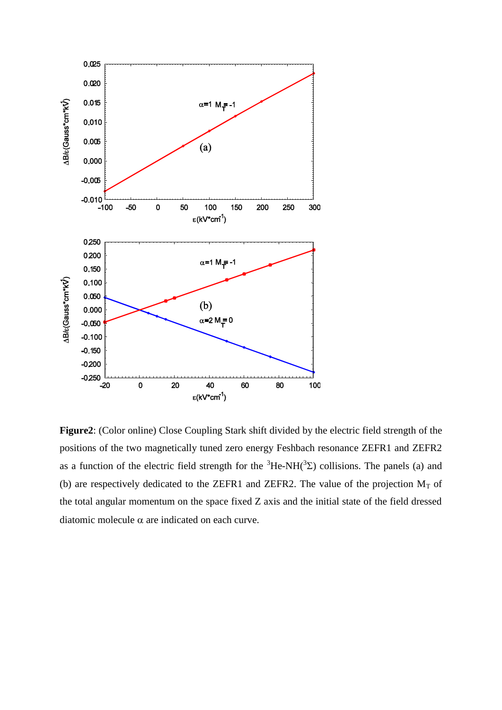

**Figure2**: (Color online) Close Coupling Stark shift divided by the electric field strength of the positions of the two magnetically tuned zero energy Feshbach resonance ZEFR1 and ZEFR2 as a function of the electric field strength for the  ${}^{3}$ He-NH( ${}^{3}$ Σ) collisions. The panels (a) and (b) are respectively dedicated to the ZEFR1 and ZEFR2. The value of the projection  $M_T$  of the total angular momentum on the space fixed Z axis and the initial state of the field dressed diatomic molecule  $\alpha$  are indicated on each curve.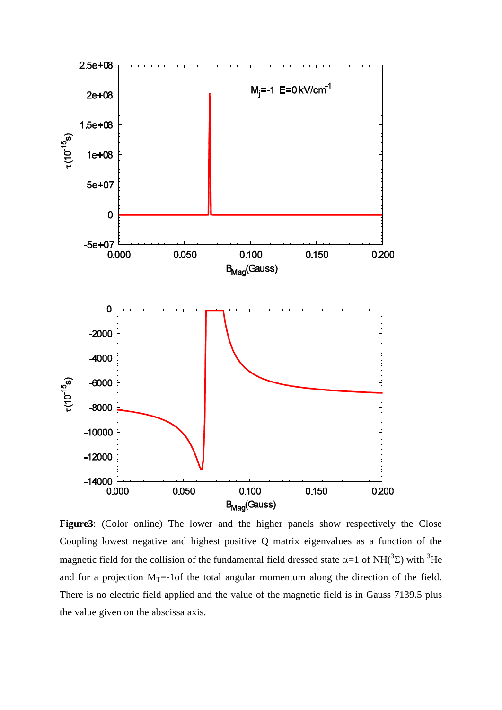

**Figure3**: (Color online) The lower and the higher panels show respectively the Close Coupling lowest negative and highest positive Q matrix eigenvalues as a function of the magnetic field for the collision of the fundamental field dressed state  $\alpha=1$  of NH( ${}^{3}\Sigma$ ) with  ${}^{3}He$ and for a projection  $M_T$ =-1of the total angular momentum along the direction of the field. There is no electric field applied and the value of the magnetic field is in Gauss 7139.5 plus the value given on the abscissa axis.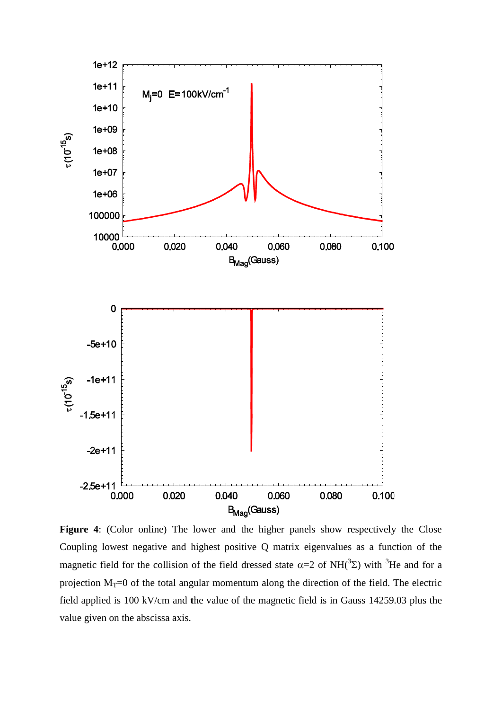

**Figure 4**: (Color online) The lower and the higher panels show respectively the Close Coupling lowest negative and highest positive Q matrix eigenvalues as a function of the magnetic field for the collision of the field dressed state  $\alpha=2$  of NH( ${}^{3}\Sigma$ ) with  ${}^{3}$ He and for a projection  $M_T=0$  of the total angular momentum along the direction of the field. The electric field applied is 100 kV/cm and **t**he value of the magnetic field is in Gauss 14259.03 plus the value given on the abscissa axis.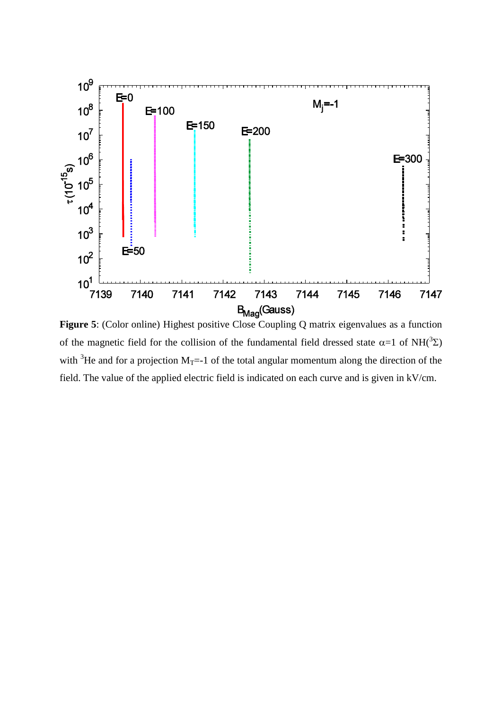

of the magnetic field for the collision of the fundamental field dressed state  $\alpha=1$  of NH( $^3\Sigma$ ) with <sup>3</sup>He and for a projection  $M_T$ =-1 of the total angular momentum along the direction of the field. The value of the applied electric field is indicated on each curve and is given in kV/cm.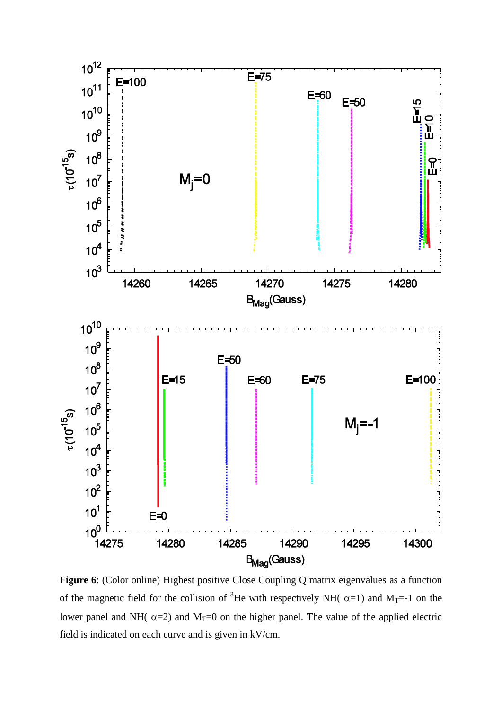

**Figure 6**: (Color online) Highest positive Close Coupling Q matrix eigenvalues as a function of the magnetic field for the collision of <sup>3</sup>He with respectively NH( $\alpha$ =1) and M<sub>T</sub>=-1 on the lower panel and NH( $\alpha$ =2) and M<sub>T</sub>=0 on the higher panel. The value of the applied electric field is indicated on each curve and is given in kV/cm.